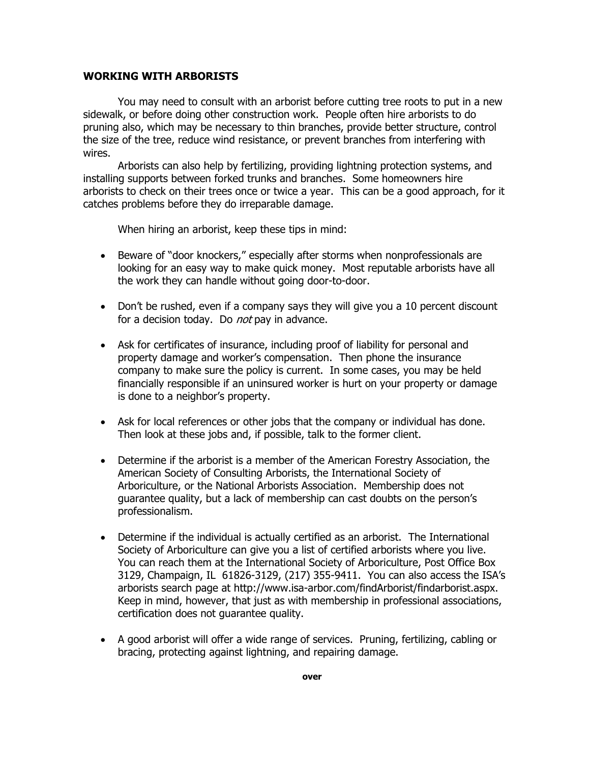## **WORKING WITH ARBORISTS**

 You may need to consult with an arborist before cutting tree roots to put in a new sidewalk, or before doing other construction work. People often hire arborists to do pruning also, which may be necessary to thin branches, provide better structure, control the size of the tree, reduce wind resistance, or prevent branches from interfering with wires.

 Arborists can also help by fertilizing, providing lightning protection systems, and installing supports between forked trunks and branches. Some homeowners hire arborists to check on their trees once or twice a year. This can be a good approach, for it catches problems before they do irreparable damage.

When hiring an arborist, keep these tips in mind:

- Beware of "door knockers," especially after storms when nonprofessionals are looking for an easy way to make quick money. Most reputable arborists have all the work they can handle without going door-to-door.
- Don't be rushed, even if a company says they will give you a 10 percent discount for a decision today. Do *not* pay in advance.
- Ask for certificates of insurance, including proof of liability for personal and property damage and worker's compensation. Then phone the insurance company to make sure the policy is current. In some cases, you may be held financially responsible if an uninsured worker is hurt on your property or damage is done to a neighbor's property.
- Ask for local references or other jobs that the company or individual has done. Then look at these jobs and, if possible, talk to the former client.
- Determine if the arborist is a member of the American Forestry Association, the American Society of Consulting Arborists, the International Society of Arboriculture, or the National Arborists Association. Membership does not guarantee quality, but a lack of membership can cast doubts on the person's professionalism.
- Determine if the individual is actually certified as an arborist. The International Society of Arboriculture can give you a list of certified arborists where you live. You can reach them at the International Society of Arboriculture, Post Office Box 3129, Champaign, IL 61826-3129, (217) 355-9411. You can also access the ISA's arborists search page at http://www.isa-arbor.com/findArborist/findarborist.aspx. Keep in mind, however, that just as with membership in professional associations, certification does not guarantee quality.
- A good arborist will offer a wide range of services. Pruning, fertilizing, cabling or bracing, protecting against lightning, and repairing damage.